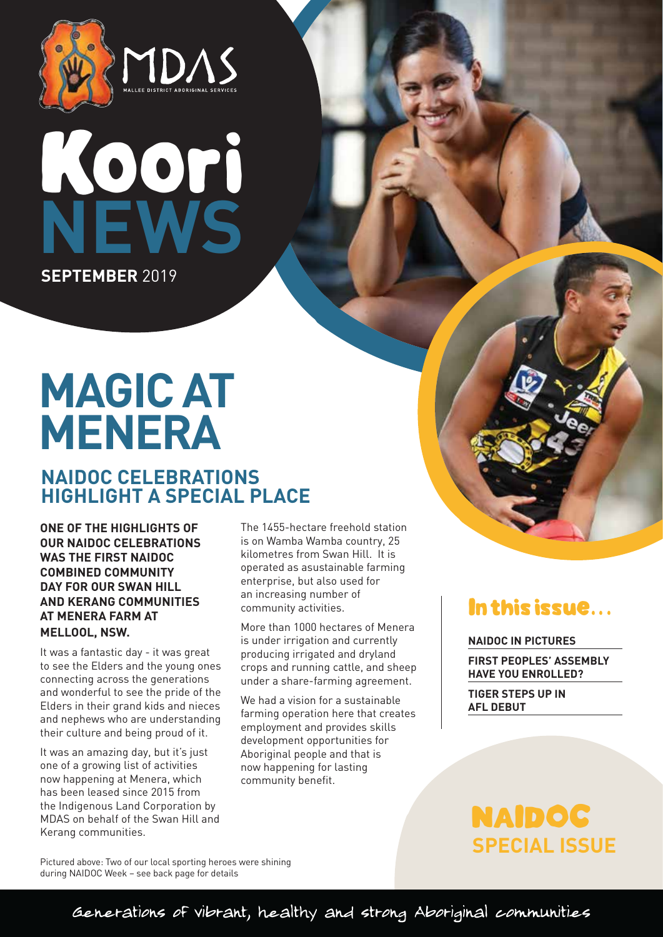

# Koori  **NEWS SEPTEMBER** 2019

## **MAGIC AT MENERA**

## **NAIDOC CELEBRATIONS HIGHLIGHT A SPECIAL PLACE**

**ONE OF THE HIGHLIGHTS OF OUR NAIDOC CELEBRATIONS WAS THE FIRST NAIDOC COMBINED COMMUNITY DAY FOR OUR SWAN HILL AND KERANG COMMUNITIES AT MENERA FARM AT MELLOOL, NSW.**

It was a fantastic day - it was great to see the Elders and the young ones connecting across the generations and wonderful to see the pride of the Elders in their grand kids and nieces and nephews who are understanding their culture and being proud of it.

It was an amazing day, but it's just one of a growing list of activities now happening at Menera, which has been leased since 2015 from the Indigenous Land Corporation by MDAS on behalf of the Swan Hill and Kerang communities.

The 1455-hectare freehold station is on Wamba Wamba country, 25 kilometres from Swan Hill. It is operated as asustainable farming enterprise, but also used for an increasing number of community activities.

More than 1000 hectares of Menera is under irrigation and currently producing irrigated and dryland crops and running cattle, and sheep under a share-farming agreement.

We had a vision for a sustainable farming operation here that creates employment and provides skills development opportunities for Aboriginal people and that is now happening for lasting community benefit.

## In this issue...

#### **NAIDOC IN PICTURES**

**FIRST PEOPLES' ASSEMBLY HAVE YOU ENROLLED?**

**TIGER STEPS UP IN AFL DEBUT**

## **SPECIAL ISSUE** NAIDOC

Pictured above: Two of our local sporting heroes were shining during NAIDOC Week – see back page for details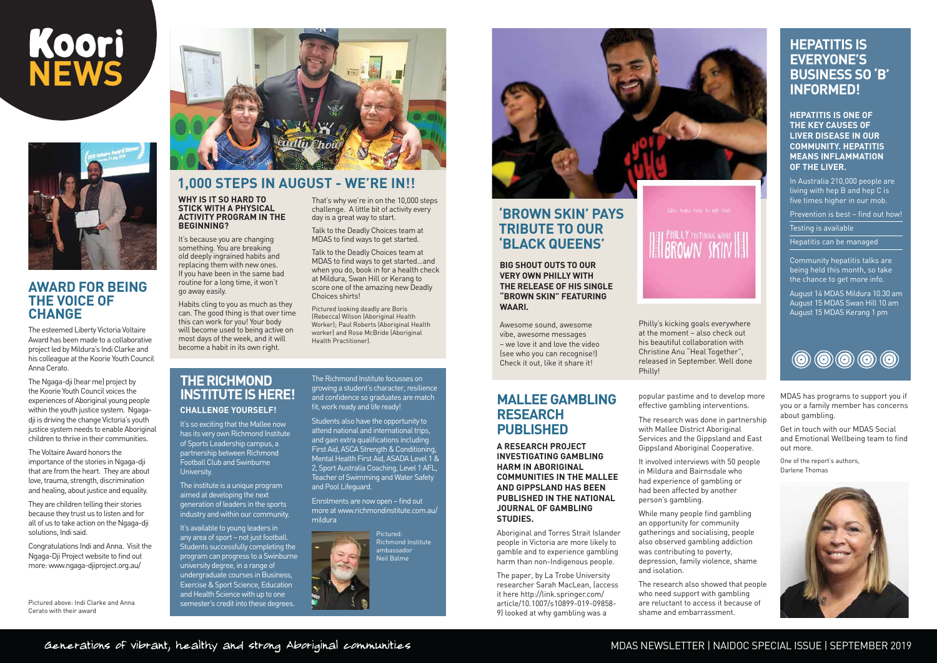## **AWARD FOR BEING THE VOICE OF CHANGE**

The esteemed Liberty Victoria Voltaire Award has been made to a collaborative project led by Mildura's Indi Clarke and his colleague at the Koorie Youth Council Anna Cerato.

The Voltaire Award honors the importance of the stories in Ngaga-dji that are from the heart. They are about love, trauma, strength, discrimination and healing, about justice and equality.

The Ngaga-dji (hear me) project by the Koorie Youth Council voices the experiences of Aboriginal young people within the youth justice system. Ngagadji is driving the change Victoria's youth justice system needs to enable Aboriginal children to thrive in their communities.

They are children telling their stories because they trust us to listen and for all of us to take action on the Ngaga-dji solutions, Indi said.

Congratulations Indi and Anna. Visit the Ngaga-Dji Project website to find out more: www.ngaga-djiproject.org.au/

#### **WHY IS IT SO HARD TO STICK WITH A PHYSICAL ACTIVITY PROGRAM IN THE BEGINNING?**

It's because you are changing something. You are breaking old deeply ingrained habits and replacing them with new ones. If you have been in the same bad routine for a long time, it won't go away easily.

Habits cling to you as much as they can. The good thing is that over time this can work for you! Your body will become used to being active on most days of the week, and it will become a habit in its own right.

That's why we're in on the 10,000 steps challenge. A little bit of activity every

day is a great way to start. Talk to the Deadly Choices team at MDAS to find ways to get started.

Talk to the Deadly Choices team at MDAS to find ways to get started…and when you do, book in for a health check at Mildura, Swan Hill or Kerang to score one of the amazing new Deadly Choices shirts!

Pictured looking deadly are Boris (Rebecca) Wilson (Aboriginal Health Worker); Paul Roberts (Aboriginal Health worker) and Rose McBride (Aboriginal Health Practitioner).

## **1,000 STEPS IN AUGUST - WE'RE IN!!**

**HEPATITIS IS ONE OF THE KEY CAUSES OF LIVER DISEASE IN OUR COMMUNITY. HEPATITIS MEANS INFLAMMATION OF THE LIVER.** 

In Australia 210,000 people are living with hep B and hep C is five times higher in our mob.

Prevention is best – find out how!

Testing is available

Hepatitis can be managed

Community hepatitis talks are being held this month, so take the chance to get more info.

August 14 MDAS Mildura 10.30 am August 15 MDAS Swan Hill 10 am August 15 MDAS Kerang 1 pm



## **HEPATITIS IS EVERYONE'S BUSINESS SO 'B' INFORMED!**

## MDAS NEWSLETTER | NAIDOC SPECIAL ISSUE | SEPTEMBER 2019

# Koori  **NEWS**



Pictured above: Indi Clarke and Anna Cerato with their award



#### **THE RICHMOND INSTITUTE IS HERE! CHALLENGE YOURSELF!**

It's so exciting that the Mallee now has its very own Richmond Institute of Sports Leadership campus, a partnership between Richmond Football Club and Swinburne University.

The institute is a unique program aimed at developing the next generation of leaders in the sports industry and within our community.

It's available to young leaders in any area of sport – not just football. Students successfully completing the program can progress to a Swinburne university degree, in a range of undergraduate courses in Business, Exercise & Sport Science, Education and Health Science with up to one semester's credit into these degrees.

The Richmond Institute focusses on growing a student's character, resilience and confidence so graduates are match fit, work ready and life ready!

Students also have the opportunity to attend national and international trips, and gain extra qualifications including First Aid, ASCA Strength & Conditioning, Mental Health First Aid, ASADA Level 1 & 2, Sport Australia Coaching, Level 1 AFL, Teacher of Swimming and Water Safety and Pool Lifeguard.

Enrolments are now open – find out more at www.richmondinstitute.com.au/ mildura



Pictured:



Richmond Institute ambassador Neil Balme

Awesome sound, awesome vibe, awesome messages – we love it and love the video (see who you can recognise!) Check it out, like it share it!

## **'BROWN SKIN' PAYS TRIBUTE TO OUR 'BLACK QUEENS'**

**BIG SHOUT OUTS TO OUR VERY OWN PHILLY WITH THE RELEASE OF HIS SINGLE "BROWN SKIN" FEATURING WAARI.** 

## **MALLEE GAMBLING RESEARCH PUBLISHED**

**A RESEARCH PROJECT INVESTIGATING GAMBLING HARM IN ABORIGINAL COMMUNITIES IN THE MALLEE AND GIPPSLAND HAS BEEN PUBLISHED IN THE NATIONAL JOURNAL OF GAMBLING STUDIES.**

Aboriginal and Torres Strait Islander people in Victoria are more likely to gamble and to experience gambling harm than non-Indigenous people.

The paper, by La Trobe University researcher Sarah MacLean, (access it here http://link.springer.com/ article/10.1007/s10899-019-09858- 9) looked at why gambling was a

**IEILBROWN SKINI** 

popular pastime and to develop more effective gambling interventions.

The research was done in partnership with Mallee District Aboriginal Services and the Gippsland and East Gippsland Aboriginal Cooperative.

It involved interviews with 50 people in Mildura and Bairnsdale who had experience of gambling or had been affected by another person's gambling.

While many people find gambling an opportunity for community gatherings and socialising, people also observed gambling addiction was contributing to poverty, depression, family violence, shame and isolation.

The research also showed that people who need support with gambling are reluctant to access it because of shame and embarrassment.



MDAS has programs to support you if you or a family member has concerns about gambling.

Get in touch with our MDAS Social and Emotional Wellbeing team to find out more.

One of the report's authors, Darlene Thomas



Philly's kicking goals everywhere at the moment – also check out his beautiful collaboration with Christine Anu "Heal Together", released in September. Well done Philly!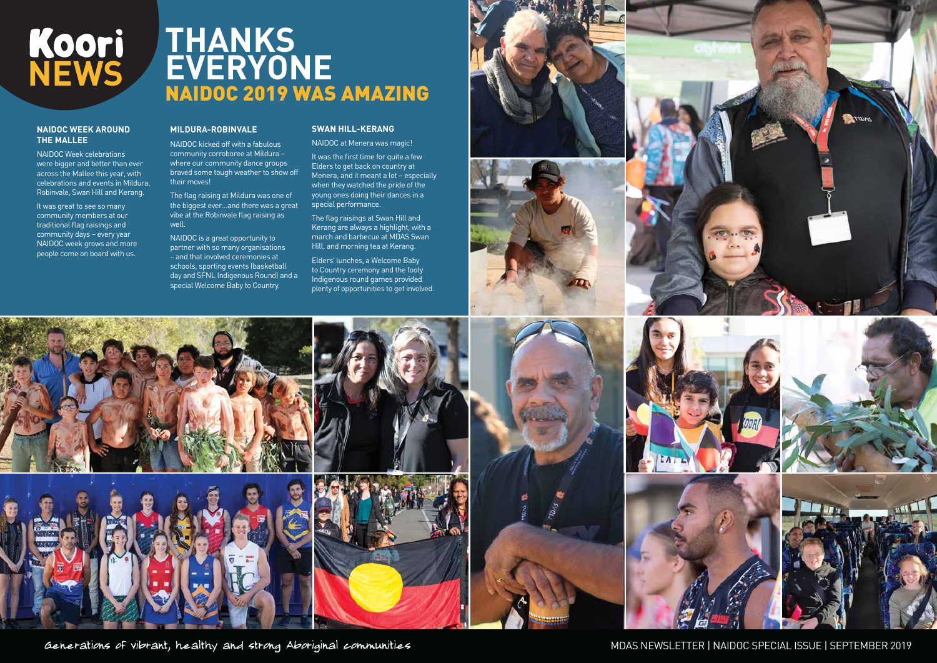#### **NAIDOC WEEK AROUND THE MALLEE**

NAIDOC Week celebrations were bigger and better than ever across the Mallee this year, with celebrations and events in Mildura, Robinvale, Swan Hill and Kerang.

It was great to see so many community members at our traditional flag raisings and community days – every year NAIDOC week grows and more people come on board with us.

#### **MILDURA-ROBINVALE**

## **THANKS EVERYONE** NAIDOC 2019 WAS AMAZING

NAIDOC kicked off with a fabulous community corroboree at Mildura – where our community dance groups braved some tough weather to show off their moves!

The flag raising at Mildura was one of the biggest ever…and there was a great vibe at the Robinvale flag raising as well.

NAIDOC is a great opportunity to partner with so many organisations – and that involved ceremonies at schools, sporting events (basketball day and SFNL Indigenous Round) and a special Welcome Baby to Country.



#### **SWAN HILL-KERANG**

NAIDOC at Menera was magic!

It was the first time for quite a few Elders to get back on country at Menera, and it meant a lot – especially when they watched the pride of the young ones doing their dances in a special performance.

The flag raisings at Swan Hill and Kerang are always a highlight, with a march and barbecue at MDAS Swan Hill, and morning tea at Kerang.

Elders' lunches, a Welcome Baby to Country ceremony and the footy Indigenous round games provided plenty of opportunities to get involved.







Generations of vibrant, healthy and strong Aboriginal communities











MDAS NEWSLETTER | NAIDOC SPECIAL ISSUE | SEPTEMBER 2019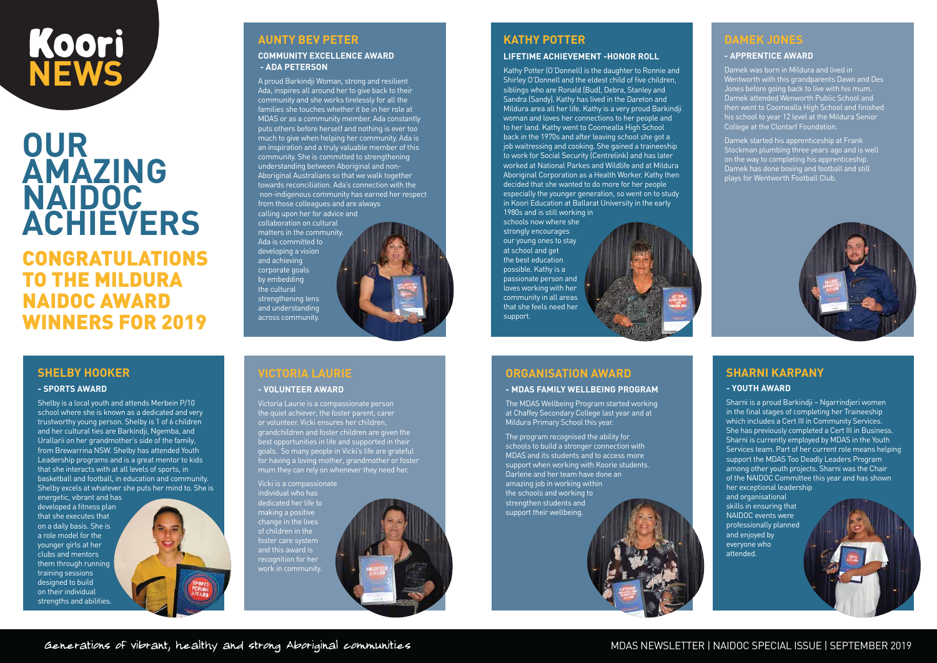## **OUR AMAZING NAIDOC ACHIEVERS**

CONGRATULATIONS TO THE MILDURA NAIDOC AWARD WINNERS FOR 2019

# Koori  **NEWS**

## **AUNTY BEV PETER**

#### **COMMUNITY EXCELLENCE AWARD - ADA PETERSON**

A proud Barkindji Woman, strong and resilient Ada, inspires all around her to give back to their community and she works tirelessly for all the families she touches whether it be in her role at MDAS or as a community member. Ada constantly puts others before herself and nothing is ever too much to give when helping her community. Ada is an inspiration and a truly valuable member of this community. She is committed to strengthening understanding between Aboriginal and non-Aboriginal Australians so that we walk together towards reconciliation. Ada's connection with the non-indigenous community has earned her respect from those colleagues and are always calling upon her for advice and

collaboration on cultural matters in the community. Ada is committed to developing a vision and achieving corporate goals by embedding the cultural strengthening lens and understanding across community.



#### **SHELBY HOOKER**

#### **- SPORTS AWARD**

Shelby is a local youth and attends Merbein P/10 school where she is known as a dedicated and very trustworthy young person. Shelby is 1 of 6 children and her cultural ties are Barkindji, Ngemba, and Urallarii on her grandmother's side of the family, from Brewarrina NSW. Shelby has attended Youth Leadership programs and is a great mentor to kids that she interacts with at all levels of sports, in basketball and football, in education and community. Shelby excels at whatever she puts her mind to. She is

energetic, vibrant and has developed a fitness plan that she executes that on a daily basis. She is a role model for the younger girls at her clubs and mentors them through running training sessions designed to build on their individual strengths and abilities.



## **VICTORIA LAURIE**

#### **- VOLUNTEER AWARD**

Victoria Laurie is a compassionate person the quiet achiever, the foster parent, carer or volunteer. Vicki ensures her children, grandchildren and foster children are given the best opportunities in life and supported in their goals. So many people in Vicki's life are grateful for having a loving mother, grandmother or foster mum they can rely on whenever they need her.

Vicki is a compassionate individual who has dedicated her life to making a positive change in the lives of children in the foster care system and this award is recognition for her work in community.



### **ORGANISATION AWARD**

#### **- MDAS FAMILY WELLBEING PROGRAM**

The MDAS Wellbeing Program started working at Chaffey Secondary College last year and at Mildura Primary School this year.

The program recognised the ability for schools to build a stronger connection with MDAS and its students and to access more support when working with Koorie students. Darlene and her team have done an amazing job in working within the schools and working to strengthen students and support their wellbeing.

## **SHARNI KARPANY**

#### **- YOUTH AWARD**

Sharni is a proud Barkindji – Ngarrindjeri women in the final stages of completing her Traineeship which includes a Cert III in Community Services. She has previously completed a Cert III in Business. Sharni is currently employed by MDAS in the Youth Services team. Part of her current role means helping support the MDAS Too Deadly Leaders Program among other youth projects. Sharni was the Chair of the NAIDOC Committee this year and has shown her exceptional leadership

and organisational skills in ensuring that NAIDOC events were professionally planned and enjoyed by everyone who attended.

## **KATHY POTTER**

#### **LIFETIME ACHIEVEMENT -HONOR ROLL**

Kathy Potter (O'Donnell) is the daughter to Ronnie and Shirley O'Donnell and the eldest child of five children, siblings who are Ronald (Bud), Debra, Stanley and Sandra (Sandy). Kathy has lived in the Dareton and Mildura area all her life. Kathy is a very proud Barkindji woman and loves her connections to her people and to her land. Kathy went to Coomealla High School back in the 1970s and after leaving school she got a job waitressing and cooking. She gained a traineeship to work for Social Security (Centrelink) and has later worked at National Parkes and Wildlife and at Mildura Aboriginal Corporation as a Health Worker. Kathy then decided that she wanted to do more for her people especially the younger generation, so went on to study in Koori Education at Ballarat University in the early 1980s and is still working in

schools now where she strongly encourages our young ones to stay at school and get the best education possible. Kathy is a passionate person and loves working with her community in all areas that she feels need her support.



#### **DAMEK JONES**

#### **- APPRENTICE AWARD**

Damek was born in Mildura and lived in Wentworth with this grandparents Dawn and Des Jones before going back to live with his mum. Damek attended Wenworth Public School and then went to Coomealla High School and finished his school to year 12 level at the Mildura Senior College at the Clontarf Foundation.

Damek started his apprenticeship at Frank Stockman plumbing three years ago and is well on the way to completing his apprenticeship. Damek has done boxing and football and still plays for Wentworth Football Club.